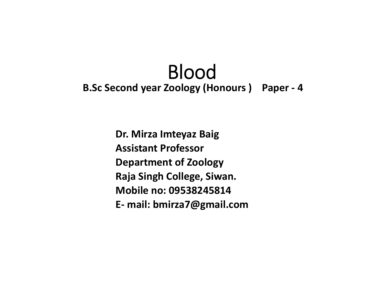## Blood**B.Sc Second year Zoology (Honours ) Paper ‐ 4**

**Dr. Mirza Imteyaz Baig Assistant ProfessorDepartment of Zoology Raja Singh College, Siwan. Mobile no: 09538245814E‐ mail: bmirza7@gmail.com**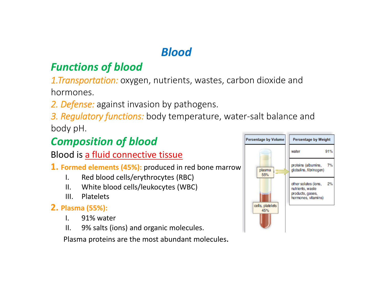## *Blood*

## *Functions of blood*

*1.Transportation:* oxygen, nutrients, wastes, carbon dioxide and hormones.

*2. Defense:* against invasion by pathogens.

*3. Regulatory functions:* body temperature, water‐salt balance and body pH.

## *Composition of blood*

Blood is a fluid connective tissue

- **1. Formed elements (45%):** produced in red bone marrow
	- I. Red blood cells/erythrocytes (RBC)
	- II. White blood cells/leukocytes (WBC)
	- III. Platelets

#### **2. Plasma (55%):**

- I. 91% water
- II. 9% salts (ions) and organic molecules.

Plasma proteins are the most abundant molecules.

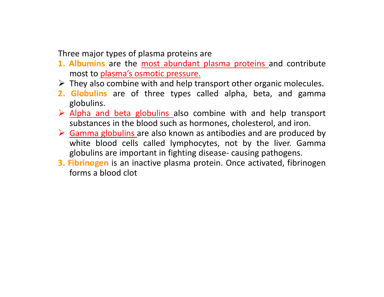Three major types of plasma proteins are

- **1. Albumins** are the most abundant plasma proteins and contribute most to plasma's osmotic pressure.
- $\triangleright$  They also combine with and help transport other organic molecules.
- **2. Globulins** are of three types called alpha, beta, and gamma globulins.
- $\triangleright$  Alpha and beta globulins also combine with and help transport substances in the blood such as hormones, cholesterol, and iron.
- ▶ Gamma globulins are also known as antibodies and are produced by white blood cells called lymphocytes, not by the liver. Gamma globulins are important in fighting disease‐ causing pathogens.
- **3. Fibrinogen** is an inactive plasma protein. Once activated, fibrinogen forms <sup>a</sup> blood clot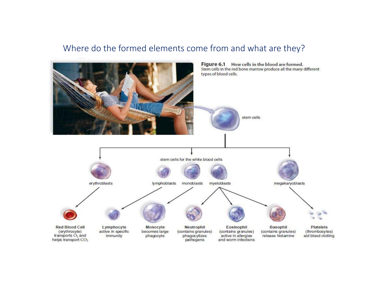#### Where do the formed elements come from and what are they?

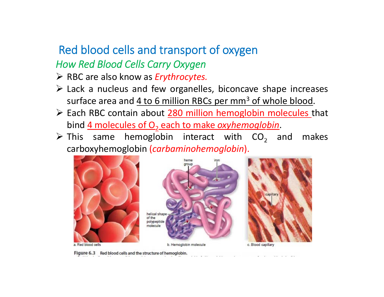### Red blood cells and transport of oxygen *How Red Blood Cells Carry Oxygen*

- RBC are also know as *Erythrocytes.*
- $\triangleright$  Lack a nucleus and few organelles, biconcave shape increases surface area and <u>4 to 6 million RBCs per mm<sup>3</sup> of whole blood</u>.
- > Each RBC contain about 280 million hemoglobin molecules that bind 4 molecules of O 2 each to make *oxyhemoglobin*.
- $\triangleright$  This same hemoglobin interact with CO<sub>2</sub> and makes carboxyhemoglobin (*carbaminohemoglobin*).



Figure 6.3 Red blood cells and the structure of hemoglobin.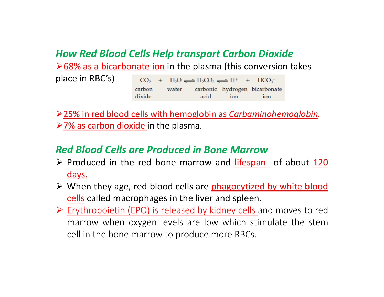#### *How Red Blood Cells Help transport Carbon Dioxide*

 $\geq$  68% as a bicarbonate ion in the plasma (this conversion takes

| place in RBC's) |        |  | $CO_2 + H_2O \rightleftharpoons H_2CO_3 \rightleftharpoons H^+ + HCO_3^-$ |         |  |
|-----------------|--------|--|---------------------------------------------------------------------------|---------|--|
|                 | carbon |  | water carbonic hydrogen bicarbonate                                       |         |  |
|                 | dixide |  | acid                                                                      | ion ion |  |

25% in red blood cells with hemoglobin as *Carbaminohemoglobin.*  $\ge$  7% as carbon dioxide in the plasma.

#### *Red Blood Cells are Produced in Bone Marrow*

- $\triangleright$  Produced in the red bone marrow and *lifespan* of about  $120$ days.
- > When they age, red blood cells are phagocytized by white blood <u>cells</u> called macrophages in the liver and spleen.
- Erythropoietin (EPO) is released by kidney cells and moves to red marrow when oxygen levels are low which stimulate the stem cell in the bone marrow to produce more RBCs.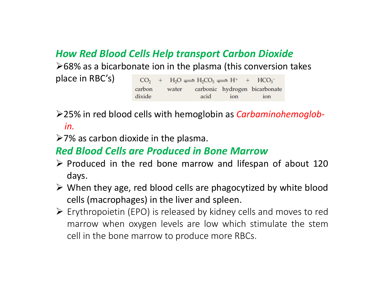#### *How Red Blood Cells Help transport Carbon Dioxide*

 $\geq 68\%$  as a bicarbonate ion in the plasma (this conversion takes

| place in RBC's) |                  |  | $CO_2 + H_2O \rightleftharpoons H_2CO_3 \rightleftharpoons H^+ + HCO_3^-$ |         |  |
|-----------------|------------------|--|---------------------------------------------------------------------------|---------|--|
|                 | carbon<br>dixide |  | water carbonic hydrogen bicarbonate<br>acid                               | ion ion |  |

25% in red blood cells with hemoglobin as *Carbaminohemoglob‐ in.*

 $\geq$ 7% as carbon dioxide in the plasma.

#### *Red Blood Cells are Produced in Bone Marrow*

- $\triangleright$  Produced in the red bone marrow and lifespan of about 120 days.
- $\triangleright$  When they age, red blood cells are phagocytized by white blood cells (macrophages) in the liver and spleen.
- Erythropoietin (EPO) is released by kidney cells and moves to red marrow when oxygen levels are low which stimulate the stem cell in the bone marrow to produce more RBCs.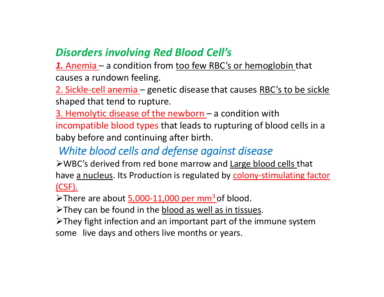#### *Disorders involving Red Blood Cell's*

1. Anemia – a condition from too few RBC's or hemoglobin that causes a rundown feeling.

2. Sickle-cell anemia – genetic disease that causes RBC's to be sickle shaped that tend to rupture.

3. Hemolytic disease of the newborn – a condition with incompatible blood types that leads to rupturing of blood cells in a baby before and continuing after birth.

### *White blood cells and defense against disease*

WBC's derived from red bone marrow and Large blood cells that have a nucleus. Its Production is regulated by colony-stimulating factor (CSF).

 $\triangleright$  There are about  $5,000-11,000$  per mm<sup>3</sup> of blood.

> They can be found in the blood as well as in tissues.

They fight infection and an important part of the immune system some live days and others live months or years.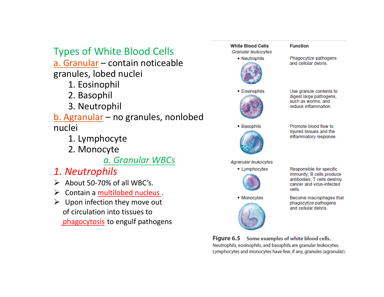## Types of White Blood Cells

a. Granular – contain noticeable granules, lobed nuclei

- 1. Eosinophil
- 2. Basophil
- 3. Neutrophil

b. Agranular – no granules, nonlobed nuclei

- 1. Lymphocyte
- 2. Monocyte

#### *a. Granular WBCs*

- *1. Neutrophils*
- $\triangleright$  About 50-70% of all WBC's.
- $\triangleright$  Contain a multilobed nucleus.
- $\triangleright$  Upon infection they move out of circulation into tissues to phagocytosis to engulf pathogens



**Figure 6.5** Some examples of white blood cells. Neutrophils, eosinophils, and basophils are granular leukocytes. Lymphocytes and monocytes have few, if any, granules (agranular).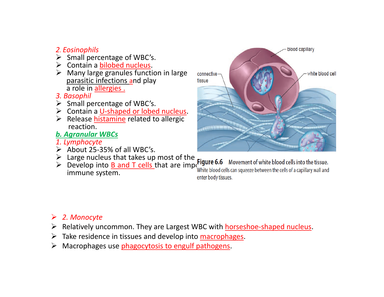#### *2. Eosinophils*

- $\triangleright$  Small percentage of WBC's.
- $\triangleright$  Contain a bilobed nucleus.
- $\triangleright$  Many large granules function in large parasitic infections and play <sup>a</sup> role in allergies .
- *3. Basophil*
- $\triangleright$  Small percentage of WBC's.
- ▶ Contain a U-shaped or lobed nucleus.
- > Release histamine related to allergic reaction.
- *b. Agranular WBCs*
- *1. Lymphocyte*
- $\triangleright$  About 25-35% of all WBC's.
- $\triangleright$  Large nucleus that takes up most of the  $\mathbf{r}_{\text{trans}}$
- $\triangleright$  Develop into **B** and T cells that are importune  $\mathbf{B}$  and immune system. enter body tissues.

# blood capillary white blood cell connectivetissue

#### *2. Monocyte*

- ▶ Relatively uncommon. They are Largest WBC with horseshoe-shaped nucleus.
- ➤ Take residence in tissues and develop into macrophages.
- $\blacktriangleright$ Macrophages use phagocytosis to engulf pathogens.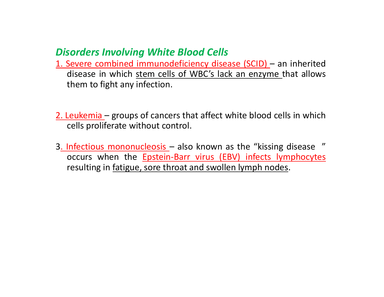#### *Disorders Involving White Blood Cells*

- 1. Severe combined immunodeficiency disease (SCID) an inherited disease in which stem cells of WBC's lack an enzyme that allows them to fight any infection.
- 2. Leukemia groups of cancers that affect white blood cells in which cells proliferate without control.
- 3<u>. Infectious mononucleosis</u> also known as the "kissing disease " occurs when the **Epstein-Barr virus (EBV) infects lymphocytes** resulting in fatigue, sore throat and swollen lymph nodes.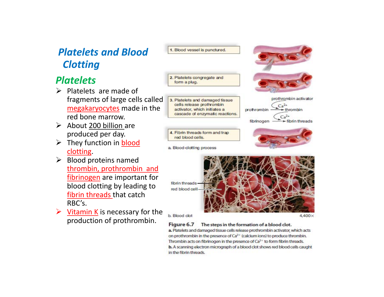#### *Platelets and Blood Clotting*

#### *Platelets*

- $\triangleright$  Platelets are made of fragments of large cells called megakaryocytes made in the red bone marrow.
- $\triangleright$  About 200 billion are produced per day.
- $\triangleright$  They function in **blood** clotting.
- $\triangleright$  Blood proteins named thrombin, prothrombin and fibrinogen are important for blood clotting by leading to fibrin threads that catch RBC's.
- $\triangleright$  <u>Vitamin K</u> is necessary for the production of prothrombin.





3. Platelets and damaged tissue cells release prothrombin activator, which initiates a cascade of enzymatic reactions.







a. Blood-clotting process



b. Blood clot

4,400×

Figure 6.7 The steps in the formation of a blood clot. a. Platelets and damaged tissue cells release prothrombin activator, which acts on prothrombin in the presence of Ca<sup>2+</sup> (calcium ions) to produce thrombin. Thrombin acts on fibrinogen in the presence of  $Ca^{2+}$  to form fibrin threads. b. A scanning electron micrograph of a blood clot shows red blood cells caught in the fibrin threads.